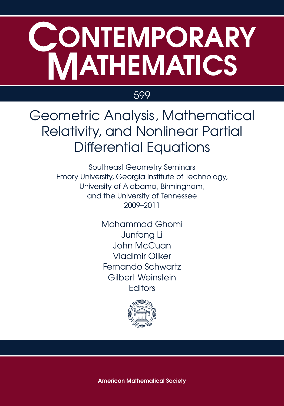# CONTEMPORARY **MATHEMATICS**

### 599

Geometric Analysis, Mathematical Relativity, and Nonlinear Partial Differential Equations

> Southeast Geometry Seminars Emory University, Georgia Institute of Technology, University of Alabama, Birmingham, and the University of Tennessee 2009–2011

> > Mohammad Ghomi Junfang Li John McCuan Vladimir Oliker Fernando Schwartz Gilbert Weinstein **Editors**



**American Mathematical Society**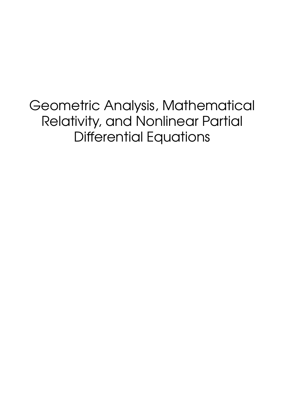Geometric Analysis, Mathematical Relativity, and Nonlinear Partial Differential Equations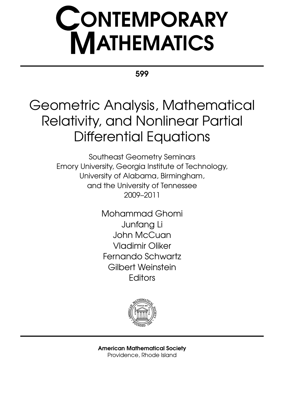# **CONTEMPORARY<br>MATHEMATICS**

599

## Geometric Analysis, Mathematical Relativity, and Nonlinear Partial Differential Equations

Southeast Geometry Seminars Emory University, Georgia Institute of Technology, University of Alabama, Birmingham, and the University of Tennessee 2009–2011

> Mohammad Ghomi Junfang Li John McCuan Vladimir Oliker Fernando Schwartz Gilbert Weinstein **Editors**



American Mathematical Society Providence, Rhode Island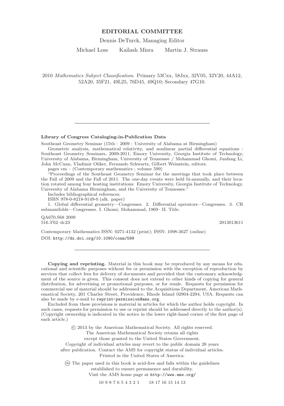#### **EDITORIAL COMMITTEE**

Dennis DeTurck, Managing Editor

Michael Loss Kailash Misra Martin J. Strauss

2010 Mathematics Subject Classification. Primary 53Cxx, 58Jxx, 32V05, 32V20, 44A12, 52A20, 35F21, 49L25, 76D45, 49Q10; Secondary 47G10.

#### **Library of Congress Cataloging-in-Publication Data**

Southeast Geometry Seminar (15th : 2009 : University of Alabama at Birmingham)

Geometric analysis, mathematical relativity, and nonlinear partial differential equations : Southeast Geometry Seminars, 2009-2011, Emory University, Georgia Institute of Technology, University of Alabama, Birmingham, University of Tennessee / Mohammad Ghomi, Junfang Li, John McCuan, Vladimir Oliker, Fernando Schwartz, Gilbert Weinstein, editors.

pages cm – (Contemporary mathematics ; volume 599)

"Proceedings of the Southeast Geometry Seminar for the meetings that took place between the Fall of 2009 and the Fall of 2011. The one-day events were held bi-annually, and their location rotated among four hosting institutions: Emory University, Georgia Institute of Technology, University of Alabama Birmingham, and the University of Tennessee."

Includes bibliographical references.

ISBN 978-0-8218-9149-0 (alk. paper)

1. Global differential geometry—Congresses. 2. Differential operators—Congresses. 3. CR submanifolds—Congresses. I. Ghomi, Mohammad, 1969– II. Title.

QA670.S68 2009  $516.3'$ 62–dc23 2013013611

Contemporary Mathematics ISSN: 0271-4132 (print); ISSN: 1098-3627 (online) DOI: <http://dx.doi.org/10.1090/conm/599>

**Copying and reprinting.** Material in this book may be reproduced by any means for educational and scientific purposes without fee or permission with the exception of reproduction by services that collect fees for delivery of documents and provided that the customary acknowledgment of the source is given. This consent does not extend to other kinds of copying for general distribution, for advertising or promotional purposes, or for resale. Requests for permission for commercial use of material should be addressed to the Acquisitions Department, American Mathematical Society, 201 Charles Street, Providence, Rhode Island 02904-2294, USA. Requests can also be made by e-mail to reprint-permission@ams.org.

Excluded from these provisions is material in articles for which the author holds copyright. In such cases, requests for permission to use or reprint should be addressed directly to the author(s). (Copyright ownership is indicated in the notice in the lower right-hand corner of the first page of each article.)

-c 2013 by the American Mathematical Society. All rights reserved.

The American Mathematical Society retains all rights

except those granted to the United States Government.

Copyright of individual articles may revert to the public domain 28 years

after publication. Contact the AMS for copyright status of individual articles.

Printed in the United States of America.

- ∞ The paper used in this book is acid-free and falls within the guidelines established to ensure permanence and durability.

Visit the AMS home page at http://www.ams.org/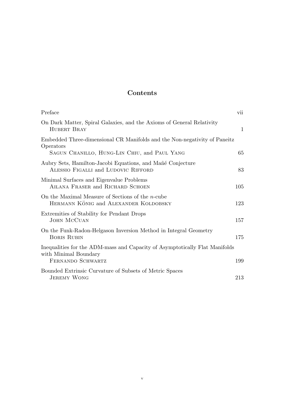#### **Contents**

| Preface                                                                                                                                | vii          |
|----------------------------------------------------------------------------------------------------------------------------------------|--------------|
| On Dark Matter, Spiral Galaxies, and the Axioms of General Relativity<br><b>HUBERT BRAY</b>                                            | $\mathbf{1}$ |
| Embedded Three-dimensional CR Manifolds and the Non-negativity of Paneitz<br>Operators<br>SAGUN CHANILLO, HUNG-LIN CHIU, and PAUL YANG | 65           |
| Aubry Sets, Hamilton-Jacobi Equations, and Mañé Conjecture<br>ALESSIO FIGALLI and LUDOVIC RIFFORD                                      | 83           |
| Minimal Surfaces and Eigenvalue Problems<br>AILANA FRASER and RICHARD SCHOEN                                                           | 105          |
| On the Maximal Measure of Sections of the $n$ -cube<br>HERMANN KÖNIG and ALEXANDER KOLDOBSKY                                           | 123          |
| Extremities of Stability for Pendant Drops<br>JOHN MCCUAN                                                                              | 157          |
| On the Funk-Radon-Helgason Inversion Method in Integral Geometry<br><b>BORIS RUBIN</b>                                                 | 175          |
| Inequalities for the ADM-mass and Capacity of Asymptotically Flat Manifolds<br>with Minimal Boundary                                   |              |
| FERNANDO SCHWARTZ<br>Bounded Extrinsic Curvature of Subsets of Metric Spaces                                                           | 199          |
| <b>JEREMY WONG</b>                                                                                                                     | 213          |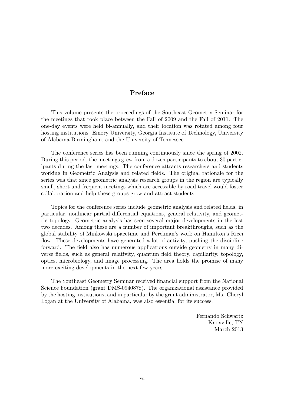#### **Preface**

This volume presents the proceedings of the Southeast Geometry Seminar for the meetings that took place between the Fall of 2009 and the Fall of 2011. The one-day events were held bi-annually, and their location was rotated among four hosting institutions: Emory University, Georgia Institute of Technology, University of Alabama Birmingham, and the University of Tennessee.

The conference series has been running continuously since the spring of 2002. During this period, the meetings grew from a dozen participants to about 30 participants during the last meetings. The conference attracts researchers and students working in Geometric Analysis and related fields. The original rationale for the series was that since geometric analysis research groups in the region are typically small, short and frequent meetings which are accessible by road travel would foster collaboration and help these groups grow and attract students.

Topics for the conference series include geometric analysis and related fields, in particular, nonlinear partial differential equations, general relativity, and geometric topology. Geometric analysis has seen several major developments in the last two decades. Among these are a number of important breakthroughs, such as the global stability of Minkowski spacetime and Perelman's work on Hamilton's Ricci flow. These developments have generated a lot of activity, pushing the discipline forward. The field also has numerous applications outside geometry in many diverse fields, such as general relativity, quantum field theory, capillarity, topology, optics, microbiology, and image processing. The area holds the promise of many more exciting developments in the next few years.

The Southeast Geometry Seminar received financial support from the National Science Foundation (grant DMS-0940878). The organizational assistance provided by the hosting institutions, and in particular by the grant administrator, Ms. Cheryl Logan at the University of Alabama, was also essential for its success.

> Fernando Schwartz Knoxville, TN March 2013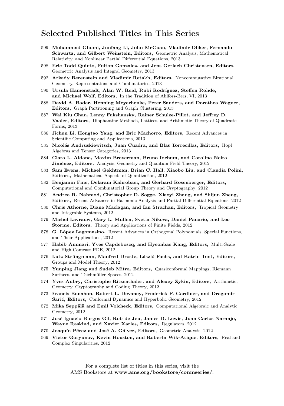#### **Selected Published Titles in This Series**

- 599 **Mohammad Ghomi, Junfang Li, John McCuan, Vladimir Oliker, Fernando Schwartz, and Gilbert Weinstein, Editors,** Geometric Analysis, Mathematical Relativity, and Nonlinear Partial Differential Equations, 2013
- 598 **Eric Todd Quinto, Fulton Gonzalez, and Jens Gerlach Christensen, Editors,** Geometric Analysis and Integral Geometry, 2013
- 592 **Arkady Berenstein and Vladimir Retakh, Editors,** Noncommutative Birational Geometry, Representations and Combinatorics, 2013
- 590 Ursula Hamenstädt, Alan W. Reid, Rubí Rodríguez, Steffen Rohde, **and Michael Wolf, Editors,** In the Tradition of Ahlfors-Bers, VI, 2013
- 588 **David A. Bader, Henning Meyerhenke, Peter Sanders, and Dorothea Wagner, Editors,** Graph Partitioning and Graph Clustering, 2013
- 587 **Wai Kiu Chan, Lenny Fukshansky, Rainer Schulze-Pillot, and Jeffrey D. Vaaler, Editors,** Diophantine Methods, Lattices, and Arithmetic Theory of Quadratic Forms, 2013
- 586 **Jichun Li, Hongtao Yang, and Eric Machorro, Editors,** Recent Advances in Scientific Computing and Applications, 2013
- 585 **Nicol´as Andruskiewitsch, Juan Cuadra, and Blas Torrecillas, Editors,** Hopf Algebras and Tensor Categories, 2013
- 584 **Clara L. Aldana, Maxim Braverman, Bruno Iochum, and Carolina Neira** Jiménez, Editors, Analysis, Geometry and Quantum Field Theory, 2012
- 583 **Sam Evens, Michael Gekhtman, Brian C. Hall, Xiaobo Liu, and Claudia Polini, Editors,** Mathematical Aspects of Quantization, 2012
- 582 **Benjamin Fine, Delaram Kahrobaei, and Gerhard Rosenberger, Editors,** Computational and Combinatorial Group Theory and Cryptography, 2012
- 581 **Andrea R. Nahmod, Christopher D. Sogge, Xiaoyi Zhang, and Shijun Zheng, Editors,** Recent Advances in Harmonic Analysis and Partial Differential Equations, 2012
- 580 **Chris Athorne, Diane Maclagan, and Ian Strachan, Editors,** Tropical Geometry and Integrable Systems, 2012
- 579 **Michel Lavrauw, Gary L. Mullen, Svetla Nikova, Daniel Panario, and Leo Storme, Editors,** Theory and Applications of Finite Fields, 2012
- 578 **G. L´opez Lagomasino,** Recent Advances in Orthogonal Polynomials, Special Functions, and Their Applications, 2012
- 577 **Habib Ammari, Yves Capdeboscq, and Hyeonbae Kang, Editors,** Multi-Scale and High-Contrast PDE, 2012
- 576 **Lutz Str¨ungmann, Manfred Droste, L´aszl´o Fuchs, and Katrin Tent, Editors,** Groups and Model Theory, 2012
- 575 **Yunping Jiang and Sudeb Mitra, Editors,** Quasiconformal Mappings, Riemann Surfaces, and Teichmüller Spaces, 2012
- 574 **Yves Aubry, Christophe Ritzenthaler, and Alexey Zykin, Editors,** Arithmetic, Geometry, Cryptography and Coding Theory, 2012
- 573 **Francis Bonahon, Robert L. Devaney, Frederick P. Gardiner, and Dragomir Šarić, Editors,** Conformal Dynamics and Hyperbolic Geometry, 2012
- 572 Mika Seppälä and Emil Volcheck, Editors, Computational Algebraic and Analytic Geometry, 2012
- 571 **Jos´e Ignacio Burgos Gil, Rob de Jeu, James D. Lewis, Juan Carlos Naranjo, Wayne Raskind, and Xavier Xarles, Editors,** Regulators, 2012
- 570 **Joaquín Pérez and José A. Gálvez, Editors,** Geometric Analysis, 2012
- 569 **Victor Goryunov, Kevin Houston, and Roberta Wik-Atique, Editors,** Real and Complex Singularities, 2012

For a complete list of titles in this series, visit the AMS Bookstore at **www.ams.org/bookstore/conmseries/**.